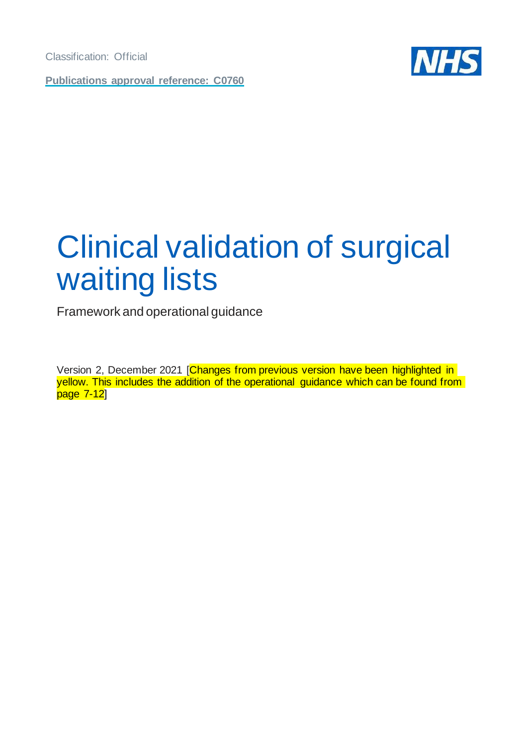**Publications approval reference: C0760**



# <span id="page-0-0"></span>Clinical validation of surgical waiting lists

Framework and operational guidance

Version 2, December 2021 [Changes from previous version have been highlighted in yellow. This includes the addition of the operational guidance which can be found from page 7-12]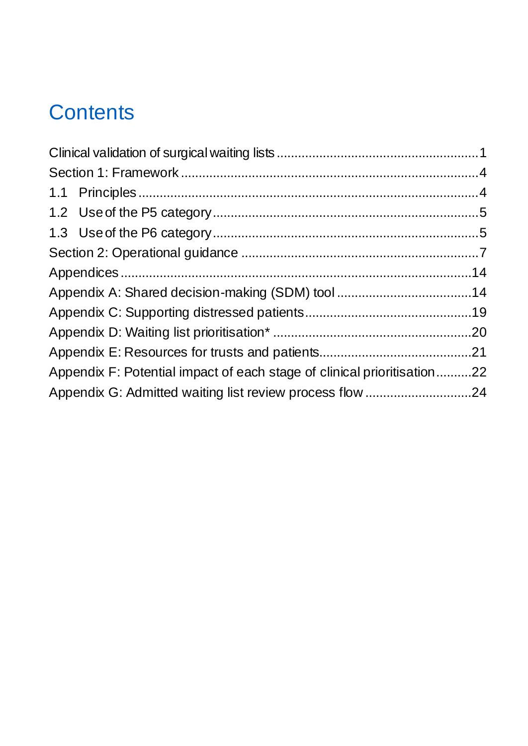# **Contents**

| Appendix F: Potential impact of each stage of clinical prioritisation22 |  |
|-------------------------------------------------------------------------|--|
| Appendix G: Admitted waiting list review process flow 24                |  |
|                                                                         |  |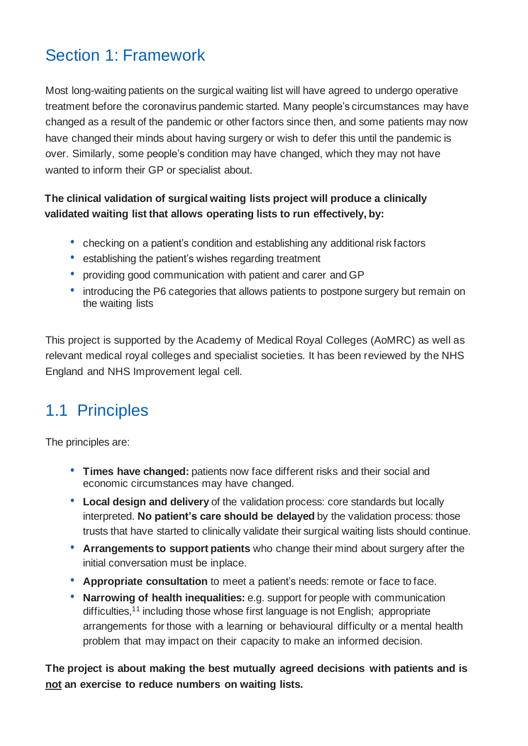# <span id="page-3-0"></span>Section 1: Framework

Most long-waiting patients on the surgical waiting list will have agreed to undergo operative treatment before the coronavirus pandemic started. Many people's circumstances may have changed as a result of the pandemic or other factors since then, and some patients may now have changed their minds about having surgery or wish to defer this until the pandemic is over. Similarly, some people's condition may have changed, which they may not have wanted to inform their GP or specialist about.

### **The clinical validation of surgical waiting lists project will produce a clinically validated waiting list that allows operating lists to run effectively, by:**

- checking on a patient's condition and establishing any additional risk factors
- establishing the patient's wishes regarding treatment
- providing good communication with patient and carer and GP
- introducing the P6 categories that allows patients to postpone surgery but remain on the waiting lists

This project is supported by the Academy of Medical Royal Colleges (AoMRC) as well as relevant medical royal colleges and specialist societies. It has been reviewed by the NHS England and NHS Improvement legal cell.

# <span id="page-3-1"></span>1.1 Principles

The principles are:

- **Times have changed:** patients now face different risks and their social and economic circumstances may have changed.
- **Local design and delivery** of the validation process: core standards but locally interpreted. **No patient's care should be delayed** by the validation process: those trusts that have started to clinically validate their surgical waiting lists should continue.
- **Arrangements to support patients** who change their mind about surgery after the initial conversation must be inplace.
- **Appropriate consultation** to meet a patient's needs: remote or face to face.
- **Narrowing of health inequalities:** e.g. support for people with communication difficulties,<sup>11</sup> including those whose first language is not English; appropriate arrangements for those with a learning or behavioural difficulty or a mental health problem that may impact on their capacity to make an informed decision.

**The project is about making the best mutually agreed decisions with patients and is not an exercise to reduce numbers on waiting lists.**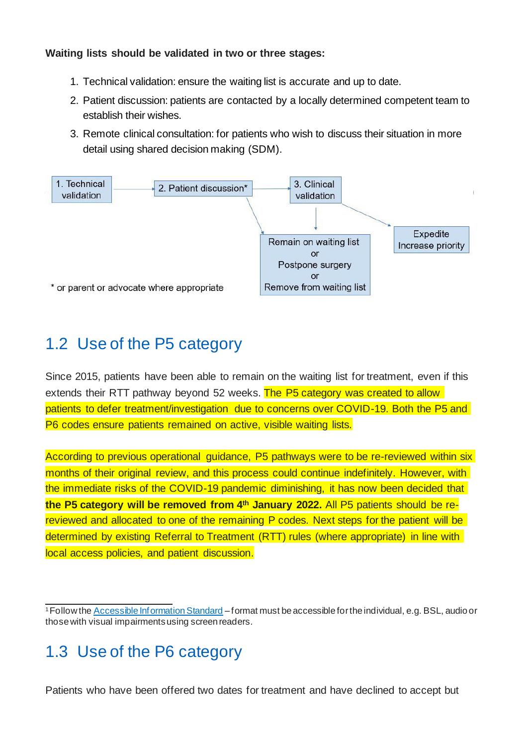#### **Waiting lists should be validated in two or three stages:**

- 1. Technical validation: ensure the waiting list is accurate and up to date.
- 2. Patient discussion: patients are contacted by a locally determined competent team to establish their wishes.
- 3. Remote clinical consultation: for patients who wish to discuss their situation in more detail using shared decision making (SDM).



### <span id="page-4-0"></span>1.2 Use of the P5 category

Since 2015, patients have been able to remain on the waiting list for treatment, even if this extends their RTT pathway beyond 52 weeks. The P5 category was created to allow patients to defer treatment/investigation due to concerns over COVID-19. Both the P5 and P6 codes ensure patients remained on active, visible waiting lists.

According to previous operational guidance, P5 pathways were to be re-reviewed within six months of their original review, and this process could continue indefinitely. However, with the immediate risks of the COVID-19 pandemic diminishing, it has now been decided that **the P5 category will be removed from 4th January 2022.** All P5 patients should be rereviewed and allocated to one of the remaining P codes. Next steps for the patient will be determined by existing Referral to Treatment (RTT) rules (where appropriate) in line with local access policies, and patient discussion.

### <span id="page-4-1"></span>1.3 Use of the P6 category

Patients who have been offered two dates for treatment and have declined to accept but

<sup>&</sup>lt;sup>1</sup> Follow the **Accessible Information Standard** – format must be accessible for the individual, e.g. BSL, audio or thosewith visual impairmentsusing screen readers.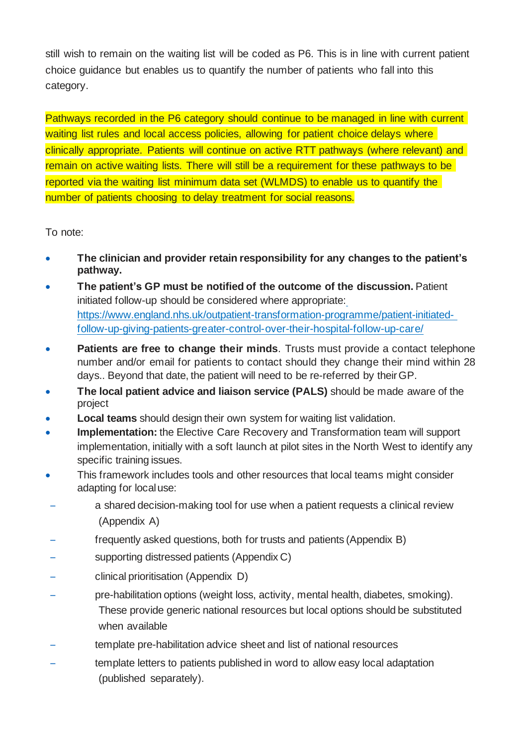still wish to remain on the waiting list will be coded as P6. This is in line with current patient choice guidance but enables us to quantify the number of patients who fall into this category.

Pathways recorded in the P6 category should continue to be managed in line with current waiting list rules and local access policies, allowing for patient choice delays where clinically appropriate. Patients will continue on active RTT pathways (where relevant) and remain on active waiting lists. There will still be a requirement for these pathways to be reported via the waiting list minimum data set (WLMDS) to enable us to quantify the number of patients choosing to delay treatment for social reasons.

To note:

- **The clinician and provider retain responsibility for any changes to the patient's pathway.**
- **The patient's GP must be notified of the outcome of the discussion.** Patient initiated follow-up should be considered where appropriate: [https://www.england.nhs.uk/outpatient-transformation-programme/patient-initiated](https://www.england.nhs.uk/outpatient-transformation-programme/patient-initiated-follow-up-giving-patients-greater-control-over-their-hospital-follow-up-care/)[follow-up-giving-patients-greater-control-over-their-hospital-follow-up-care/](https://www.england.nhs.uk/outpatient-transformation-programme/patient-initiated-follow-up-giving-patients-greater-control-over-their-hospital-follow-up-care/)
- **Patients are free to change their minds**. Trusts must provide a contact telephone number and/or email for patients to contact should they change their mind within 28 days.. Beyond that date, the patient will need to be re-referred by theirGP.
- **The local patient advice and liaison service (PALS)** should be made aware of the project
- **Local teams** should design their own system for waiting list validation.
- **Implementation:** the Elective Care Recovery and Transformation team will support implementation, initially with a soft launch at pilot sites in the North West to identify any specific training issues.
- This framework includes tools and other resources that local teams might consider adapting for localuse:
- a shared decision-making tool for use when a patient requests a clinical review (Appendix A)
- frequently asked questions, both for trusts and patients (Appendix B)
- supporting distressed patients (Appendix C)
- clinical prioritisation (Appendix D)
- pre-habilitation options (weight loss, activity, mental health, diabetes, smoking). These provide generic national resources but local options should be substituted when available
- template pre-habilitation advice sheet and list of national resources
- template letters to patients published in word to allow easy local adaptation (published separately).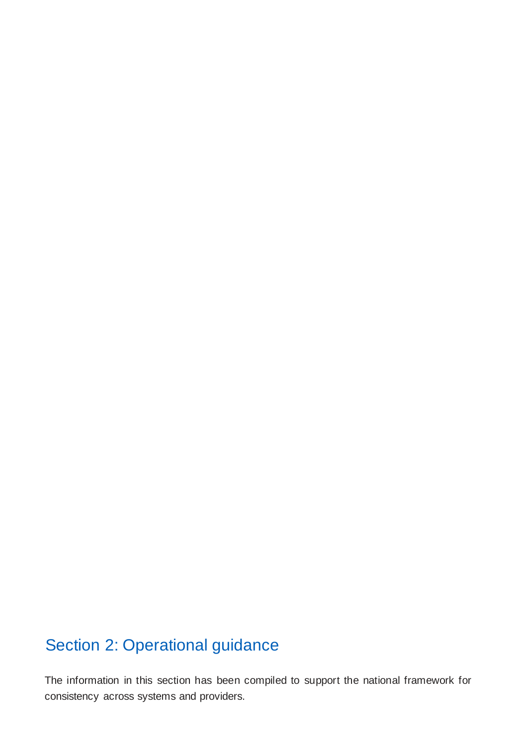# <span id="page-6-0"></span>Section 2: Operational guidance

The information in this section has been compiled to support the national framework for consistency across systems and providers.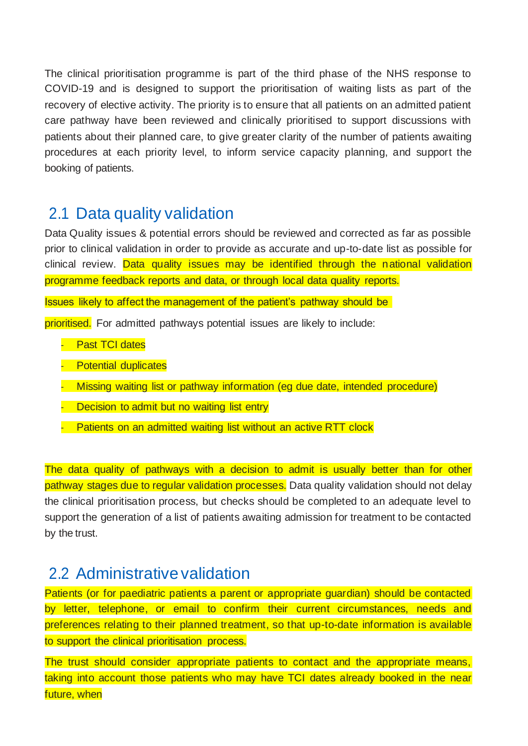The clinical prioritisation programme is part of the third phase of the NHS response to COVID-19 and is designed to support the prioritisation of waiting lists as part of the recovery of elective activity. The priority is to ensure that all patients on an admitted patient care pathway have been reviewed and clinically prioritised to support discussions with patients about their planned care, to give greater clarity of the number of patients awaiting procedures at each priority level, to inform service capacity planning, and support the booking of patients.

### 2.1 Data quality validation

Data Quality issues & potential errors should be reviewed and corrected as far as possible prior to clinical validation in order to provide as accurate and up-to-date list as possible for clinical review. Data quality issues may be identified through the national validation programme feedback reports and data, or through local data quality reports.

Issues likely to affect the management of the patient's pathway should be

prioritised. For admitted pathways potential issues are likely to include:

- Past TCI dates
- **Potential duplicates**
- Missing waiting list or pathway information (eg due date, intended procedure)
- Decision to admit but no waiting list entry
	- Patients on an admitted waiting list without an active RTT clock

The data quality of pathways with a decision to admit is usually better than for other pathway stages due to regular validation processes. Data quality validation should not delay the clinical prioritisation process, but checks should be completed to an adequate level to support the generation of a list of patients awaiting admission for treatment to be contacted by the trust.

### 2.2 Administrative validation

Patients (or for paediatric patients a parent or appropriate guardian) should be contacted by letter, telephone, or email to confirm their current circumstances, needs and preferences relating to their planned treatment, so that up-to-date information is available to support the clinical prioritisation process.

The trust should consider appropriate patients to contact and the appropriate means, taking into account those patients who may have TCI dates already booked in the near future, when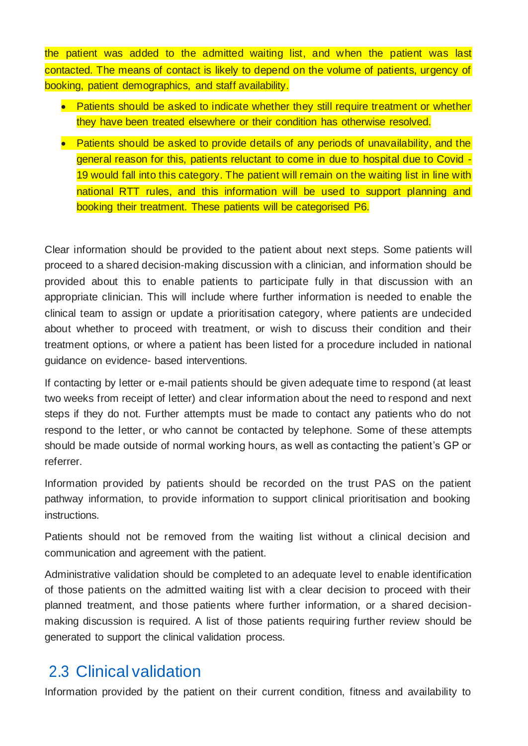the patient was added to the admitted waiting list, and when the patient was last contacted. The means of contact is likely to depend on the volume of patients, urgency of booking, patient demographics, and staff availability.

- Patients should be asked to indicate whether they still require treatment or whether they have been treated elsewhere or their condition has otherwise resolved.
- Patients should be asked to provide details of any periods of unavailability, and the general reason for this, patients reluctant to come in due to hospital due to Covid -19 would fall into this category. The patient will remain on the waiting list in line with national RTT rules, and this information will be used to support planning and booking their treatment. These patients will be categorised P6.

Clear information should be provided to the patient about next steps. Some patients will proceed to a shared decision-making discussion with a clinician, and information should be provided about this to enable patients to participate fully in that discussion with an appropriate clinician. This will include where further information is needed to enable the clinical team to assign or update a prioritisation category, where patients are undecided about whether to proceed with treatment, or wish to discuss their condition and their treatment options, or where a patient has been listed for a procedure included in national guidance on evidence- based interventions.

If contacting by letter or e-mail patients should be given adequate time to respond (at least two weeks from receipt of letter) and clear information about the need to respond and next steps if they do not. Further attempts must be made to contact any patients who do not respond to the letter, or who cannot be contacted by telephone. Some of these attempts should be made outside of normal working hours, as well as contacting the patient's GP or referrer.

Information provided by patients should be recorded on the trust PAS on the patient pathway information, to provide information to support clinical prioritisation and booking instructions.

Patients should not be removed from the waiting list without a clinical decision and communication and agreement with the patient.

Administrative validation should be completed to an adequate level to enable identification of those patients on the admitted waiting list with a clear decision to proceed with their planned treatment, and those patients where further information, or a shared decisionmaking discussion is required. A list of those patients requiring further review should be generated to support the clinical validation process.

### 2.3 Clinical validation

Information provided by the patient on their current condition, fitness and availability to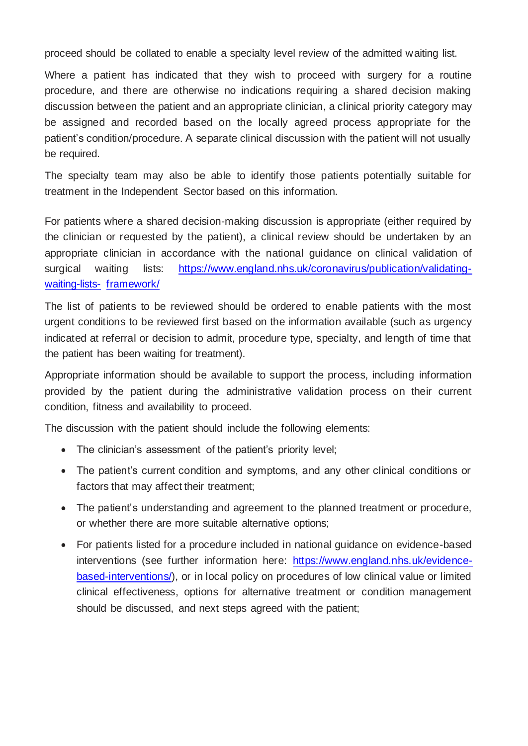proceed should be collated to enable a specialty level review of the admitted waiting list.

Where a patient has indicated that they wish to proceed with surgery for a routine procedure, and there are otherwise no indications requiring a shared decision making discussion between the patient and an appropriate clinician, a clinical priority category may be assigned and recorded based on the locally agreed process appropriate for the patient's condition/procedure. A separate clinical discussion with the patient will not usually be required.

The specialty team may also be able to identify those patients potentially suitable for treatment in the Independent Sector based on this information.

For patients where a shared decision-making discussion is appropriate (either required by the clinician or requested by the patient), a clinical review should be undertaken by an appropriate clinician in accordance with the national guidance on clinical validation of surgical waiting lists: [https://www.england.nhs.uk/coronavirus/publication/validating](https://www.england.nhs.uk/coronavirus/publication/validating-waiting-lists-framework/)[waiting-lists-](https://www.england.nhs.uk/coronavirus/publication/validating-waiting-lists-framework/) [framework/](https://www.england.nhs.uk/coronavirus/publication/validating-waiting-lists-framework/)

The list of patients to be reviewed should be ordered to enable patients with the most urgent conditions to be reviewed first based on the information available (such as urgency indicated at referral or decision to admit, procedure type, specialty, and length of time that the patient has been waiting for treatment).

Appropriate information should be available to support the process, including information provided by the patient during the administrative validation process on their current condition, fitness and availability to proceed.

The discussion with the patient should include the following elements:

- The clinician's assessment of the patient's priority level;
- The patient's current condition and symptoms, and any other clinical conditions or factors that may affect their treatment;
- The patient's understanding and agreement to the planned treatment or procedure, or whether there are more suitable alternative options;
- For patients listed for a procedure included in national guidance on evidence-based interventions (see further information here: [https://www.england.nhs.uk/evidence](https://www.england.nhs.uk/evidence-based-interventions/)[based-interventions/\)](https://www.england.nhs.uk/evidence-based-interventions/), or in local policy on procedures of low clinical value or limited clinical effectiveness, options for alternative treatment or condition management should be discussed, and next steps agreed with the patient;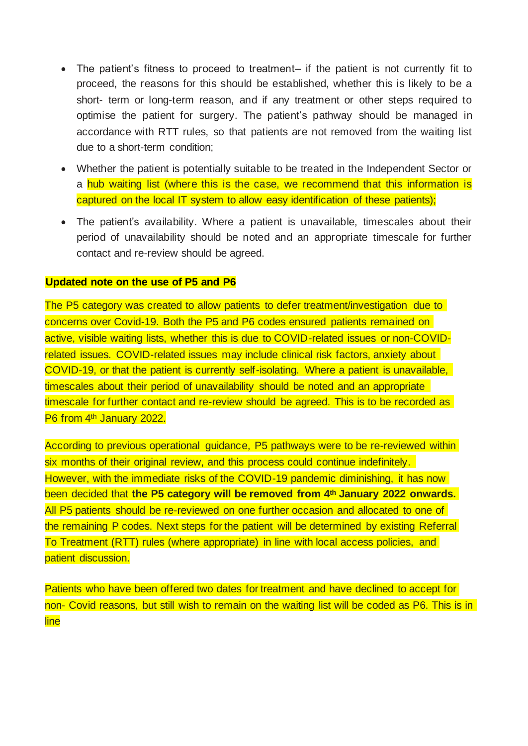- The patient's fitness to proceed to treatment– if the patient is not currently fit to proceed, the reasons for this should be established, whether this is likely to be a short- term or long-term reason, and if any treatment or other steps required to optimise the patient for surgery. The patient's pathway should be managed in accordance with RTT rules, so that patients are not removed from the waiting list due to a short-term condition;
- Whether the patient is potentially suitable to be treated in the Independent Sector or a hub waiting list (where this is the case, we recommend that this information is captured on the local IT system to allow easy identification of these patients);
- The patient's availability. Where a patient is unavailable, timescales about their period of unavailability should be noted and an appropriate timescale for further contact and re-review should be agreed.

#### **Updated note on the use of P5 and P6**

The P5 category was created to allow patients to defer treatment/investigation due to concerns over Covid-19. Both the P5 and P6 codes ensured patients remained on active, visible waiting lists, whether this is due to COVID-related issues or non-COVIDrelated issues. COVID-related issues may include clinical risk factors, anxiety about COVID-19, or that the patient is currently self-isolating. Where a patient is unavailable, timescales about their period of unavailability should be noted and an appropriate timescale for further contact and re-review should be agreed. This is to be recorded as P6 from 4<sup>th</sup> January 2022.

According to previous operational guidance, P5 pathways were to be re-reviewed within six months of their original review, and this process could continue indefinitely. However, with the immediate risks of the COVID-19 pandemic diminishing, it has now been decided that **the P5 category will be removed from 4th January 2022 onwards.**  All P5 patients should be re-reviewed on one further occasion and allocated to one of the remaining P codes. Next steps for the patient will be determined by existing Referral To Treatment (RTT) rules (where appropriate) in line with local access policies, and patient discussion.

Patients who have been offered two dates for treatment and have declined to accept for non- Covid reasons, but still wish to remain on the waiting list will be coded as P6. This is in line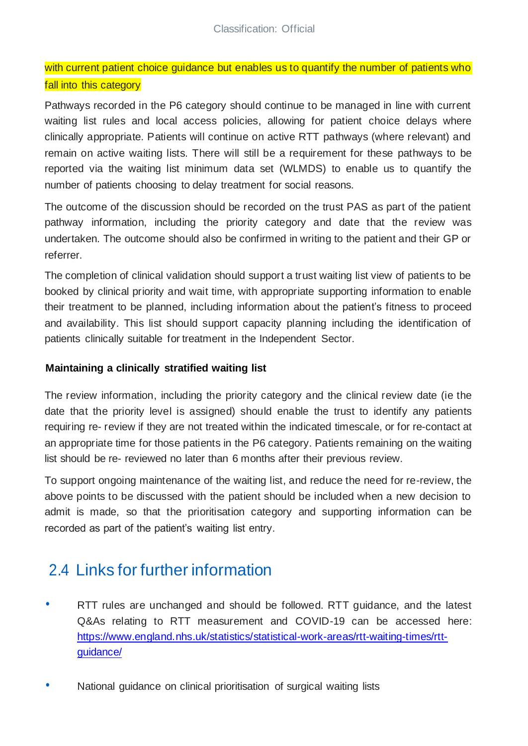with current patient choice guidance but enables us to quantify the number of patients who fall into this category

Pathways recorded in the P6 category should continue to be managed in line with current waiting list rules and local access policies, allowing for patient choice delays where clinically appropriate. Patients will continue on active RTT pathways (where relevant) and remain on active waiting lists. There will still be a requirement for these pathways to be reported via the waiting list minimum data set (WLMDS) to enable us to quantify the number of patients choosing to delay treatment for social reasons.

The outcome of the discussion should be recorded on the trust PAS as part of the patient pathway information, including the priority category and date that the review was undertaken. The outcome should also be confirmed in writing to the patient and their GP or referrer.

The completion of clinical validation should support a trust waiting list view of patients to be booked by clinical priority and wait time, with appropriate supporting information to enable their treatment to be planned, including information about the patient's fitness to proceed and availability. This list should support capacity planning including the identification of patients clinically suitable for treatment in the Independent Sector.

#### **Maintaining a clinically stratified waiting list**

The review information, including the priority category and the clinical review date (ie the date that the priority level is assigned) should enable the trust to identify any patients requiring re- review if they are not treated within the indicated timescale, or for re-contact at an appropriate time for those patients in the P6 category. Patients remaining on the waiting list should be re- reviewed no later than 6 months after their previous review.

To support ongoing maintenance of the waiting list, and reduce the need for re-review, the above points to be discussed with the patient should be included when a new decision to admit is made, so that the prioritisation category and supporting information can be recorded as part of the patient's waiting list entry.

### 2.4 Links for further information

- RTT rules are unchanged and should be followed. RTT guidance, and the latest Q&As relating to RTT measurement and COVID-19 can be accessed here: [https://www.england.nhs.uk/statistics/statistical-work-areas/rtt-waiting-times/rtt](https://www.england.nhs.uk/statistics/statistical-work-areas/rtt-waiting-times/rtt-guidance/)[guidance/](https://www.england.nhs.uk/statistics/statistical-work-areas/rtt-waiting-times/rtt-guidance/)
- National guidance on clinical prioritisation of surgical waiting lists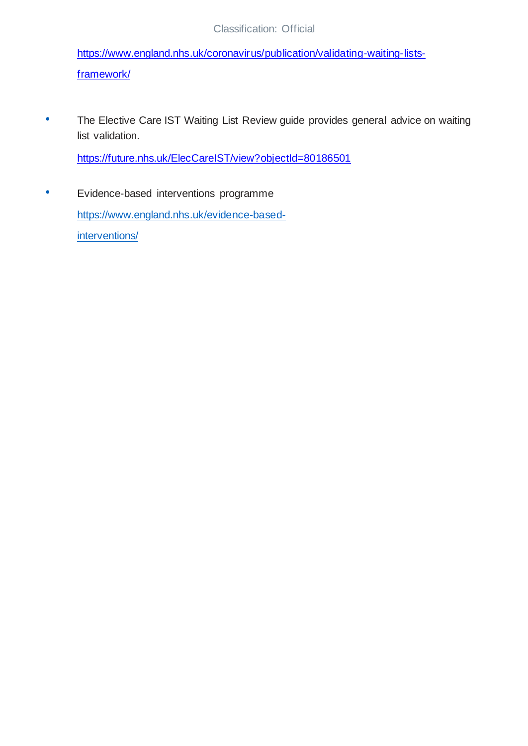[https://www.england.nhs.uk/coronavirus/publication/validating-waiting-lists](https://www.england.nhs.uk/coronavirus/publication/validating-waiting-lists-framework/)[framework/](https://www.england.nhs.uk/coronavirus/publication/validating-waiting-lists-framework/)

• The Elective Care IST Waiting List Review guide provides general advice on waiting list validation.

<https://future.nhs.uk/ElecCareIST/view?objectId=80186501>

• Evidence-based interventions programme [https://www.england.nhs.uk/evidence-based](https://www.england.nhs.uk/evidence-based-interventions/)[interventions/](https://www.england.nhs.uk/evidence-based-interventions/)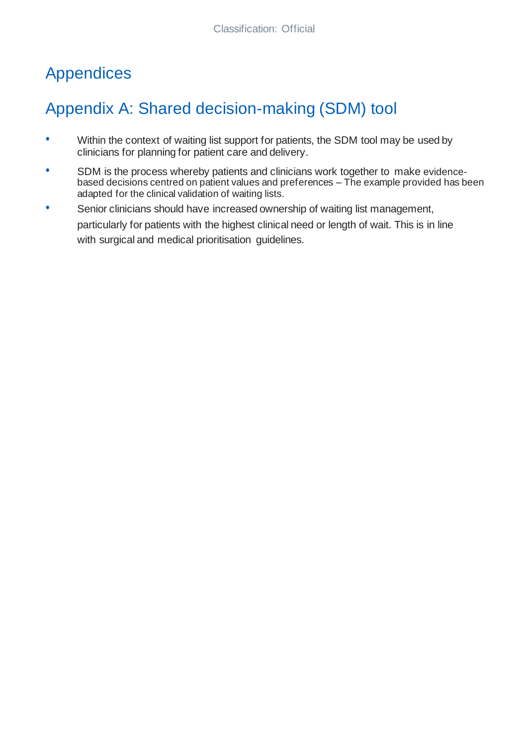# <span id="page-13-0"></span>Appendices

# <span id="page-13-1"></span>Appendix A: Shared decision-making (SDM) tool

- Within the context of waiting list support for patients, the SDM tool may be used by clinicians for planning for patient care and delivery.
- SDM is the process whereby patients and clinicians work together to make evidencebased decisions centred on patient values and preferences – The example provided has been adapted for the clinical validation of waiting lists.
- Senior clinicians should have increased ownership of waiting list management, particularly for patients with the highest clinical need or length of wait. This is in line with surgical and medical prioritisation guidelines.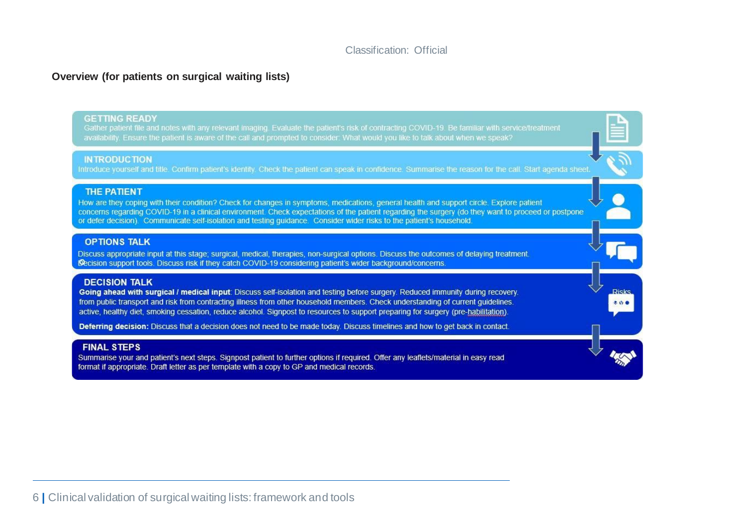**Risks** 

#### **Overview (for patients on surgical waiting lists)**

#### **GETTING READY**

Gather patient file and notes with any relevant imaging. Evaluate the patient's risk of contracting COVID-19. Be familiar with service/treatment

#### **INTRODUCTION**

Introduce yourself and title. Confirm patient's identity. Check the patient can speak in confidence. Summarise the reason for the call. Start agenda sheet.

#### **THE PATIENT**

How are they coping with their condition? Check for changes in symptoms, medications, general health and support circle. Explore patient concerns regarding COVID-19 in a clinical environment. Check expectations of the patient regarding the surgery (do they want to proceed or postpone or defer decision). Communicate self-isolation and testing guidance. Consider wider risks to the patient's household.

#### **OPTIONS TALK**

Discuss appropriate input at this stage; surgical, medical, therapies, non-surgical options. Discuss the outcomes of delaying treatment. Decision support tools. Discuss risk if they catch COVID-19 considering patient's wider background/concerns.

#### **DECISION TALK**

Going ahead with surgical / medical input: Discuss self-isolation and testing before surgery. Reduced immunity during recovery. from public transport and risk from contracting illness from other household members. Check understanding of current quidelines. active, healthy diet, smoking cessation, reduce alcohol. Signpost to resources to support preparing for surgery (pre-habilitation).

Deferring decision: Discuss that a decision does not need to be made today. Discuss timelines and how to get back in contact.

#### **FINAL STEPS**

Summarise your and patient's next steps. Signpost patient to further options if required. Offer any leaflets/material in easy read format if appropriate. Draft letter as per template with a copy to GP and medical records.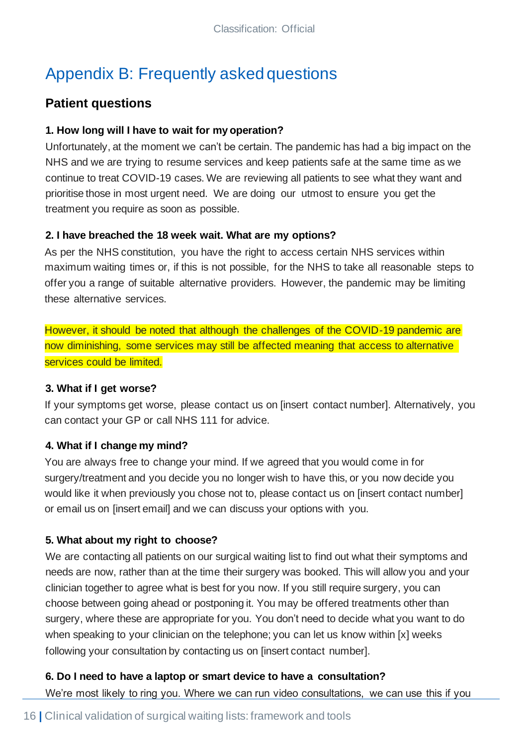# Appendix B: Frequently asked questions

### **Patient questions**

#### **1. How long will I have to wait for my operation?**

Unfortunately, at the moment we can't be certain. The pandemic has had a big impact on the NHS and we are trying to resume services and keep patients safe at the same time as we continue to treat COVID-19 cases. We are reviewing all patients to see what they want and prioritise those in most urgent need. We are doing our utmost to ensure you get the treatment you require as soon as possible.

### **2. I have breached the 18 week wait. What are my options?**

As per the NHS constitution, you have the right to access certain NHS services within maximum waiting times or, if this is not possible, for the NHS to take all reasonable steps to offer you a range of suitable alternative providers. However, the pandemic may be limiting these alternative services.

However, it should be noted that although the challenges of the COVID-19 pandemic are now diminishing, some services may still be affected meaning that access to alternative services could be limited.

#### **3. What if I get worse?**

If your symptoms get worse, please contact us on [insert contact number]. Alternatively, you can contact your GP or call NHS 111 for advice.

### **4. What if I change my mind?**

You are always free to change your mind. If we agreed that you would come in for surgery/treatment and you decide you no longer wish to have this, or you now decide you would like it when previously you chose not to, please contact us on [insert contact number] or email us on [insert email] and we can discuss your options with you.

### **5. What about my right to choose?**

We are contacting all patients on our surgical waiting list to find out what their symptoms and needs are now, rather than at the time their surgery was booked. This will allow you and your clinician together to agree what is best for you now. If you still require surgery, you can choose between going ahead or postponing it. You may be offered treatments other than surgery, where these are appropriate for you. You don't need to decide what you want to do when speaking to your clinician on the telephone; you can let us know within [x] weeks following your consultation by contacting us on [insert contact number].

### **6. Do I need to have a laptop or smart device to have a consultation?**

We're most likely to ring you. Where we can run video consultations, we can use this if you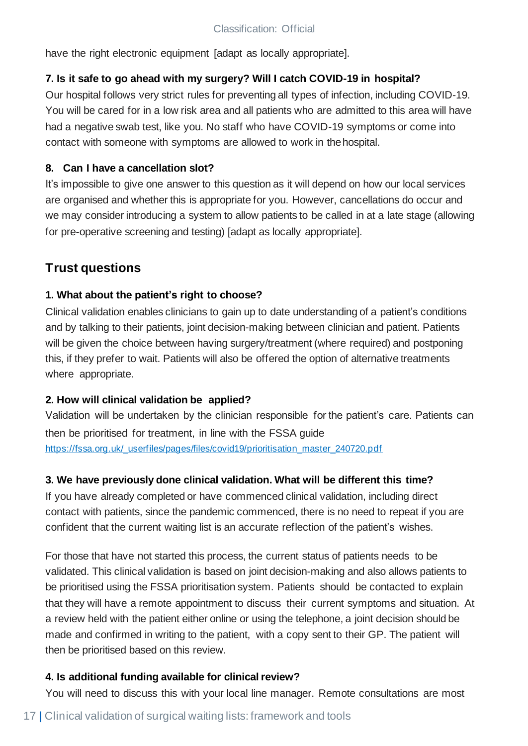have the right electronic equipment [adapt as locally appropriate].

### **7. Is it safe to go ahead with my surgery? Will I catch COVID-19 in hospital?**

Our hospital follows very strict rules for preventing all types of infection, including COVID-19. You will be cared for in a low risk area and all patients who are admitted to this area will have had a negative swab test, like you. No staff who have COVID-19 symptoms or come into contact with someone with symptoms are allowed to work in thehospital.

### **8. Can I have a cancellation slot?**

It's impossible to give one answer to this question as it will depend on how our local services are organised and whether this is appropriate for you. However, cancellations do occur and we may consider introducing a system to allow patients to be called in at a late stage (allowing for pre-operative screening and testing) [adapt as locally appropriate].

### **Trust questions**

### **1. What about the patient's right to choose?**

Clinical validation enables clinicians to gain up to date understanding of a patient's conditions and by talking to their patients, joint decision-making between clinician and patient. Patients will be given the choice between having surgery/treatment (where required) and postponing this, if they prefer to wait. Patients will also be offered the option of alternative treatments where appropriate.

### **2. How will clinical validation be applied?**

Validation will be undertaken by the clinician responsible for the patient's care. Patients can then be prioritised for treatment, in line with the FSSA guide [https://fssa.org.uk/\\_userfiles/pages/files/covid19/prioritisation\\_master\\_240720.pdf](https://fssa.org.uk/_userfiles/pages/files/covid19/prioritisation_master_240720.pdf)

### **3. We have previously done clinical validation. What will be different this time?**

If you have already completed or have commenced clinical validation, including direct contact with patients, since the pandemic commenced, there is no need to repeat if you are confident that the current waiting list is an accurate reflection of the patient's wishes.

For those that have not started this process, the current status of patients needs to be validated. This clinical validation is based on joint decision-making and also allows patients to be prioritised using the FSSA prioritisation system. Patients should be contacted to explain that they will have a remote appointment to discuss their current symptoms and situation. At a review held with the patient either online or using the telephone, a joint decision should be made and confirmed in writing to the patient, with a copy sent to their GP. The patient will then be prioritised based on this review.

### **4. Is additional funding available for clinicalreview?**

You will need to discuss this with your local line manager. Remote consultations are most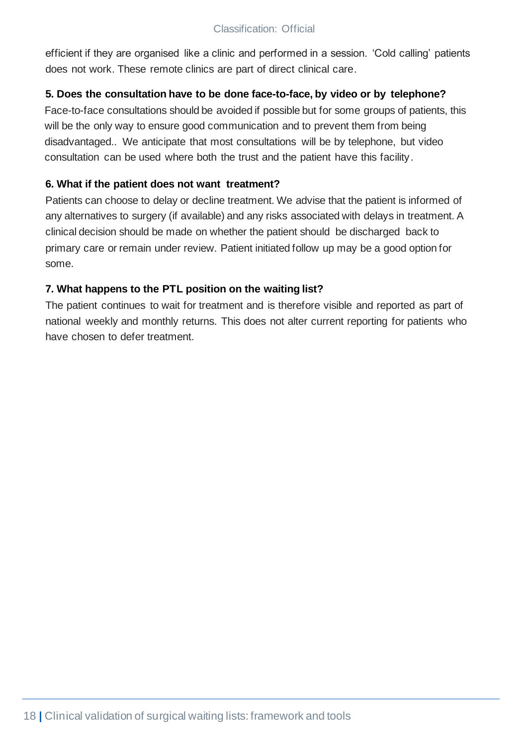efficient if they are organised like a clinic and performed in a session. 'Cold calling' patients does not work. These remote clinics are part of direct clinical care.

#### **5. Does the consultation have to be done face-to-face, by video or by telephone?**

Face-to-face consultations should be avoided if possible but for some groups of patients, this will be the only way to ensure good communication and to prevent them from being disadvantaged.. We anticipate that most consultations will be by telephone, but video consultation can be used where both the trust and the patient have this facility.

#### **6. What if the patient does not want treatment?**

Patients can choose to delay or decline treatment. We advise that the patient is informed of any alternatives to surgery (if available) and any risks associated with delays in treatment. A clinical decision should be made on whether the patient should be discharged back to primary care or remain under review. Patient initiated follow up may be a good option for some.

### **7. What happens to the PTL position on the waiting list?**

The patient continues to wait for treatment and is therefore visible and reported as part of national weekly and monthly returns. This does not alter current reporting for patients who have chosen to defer treatment.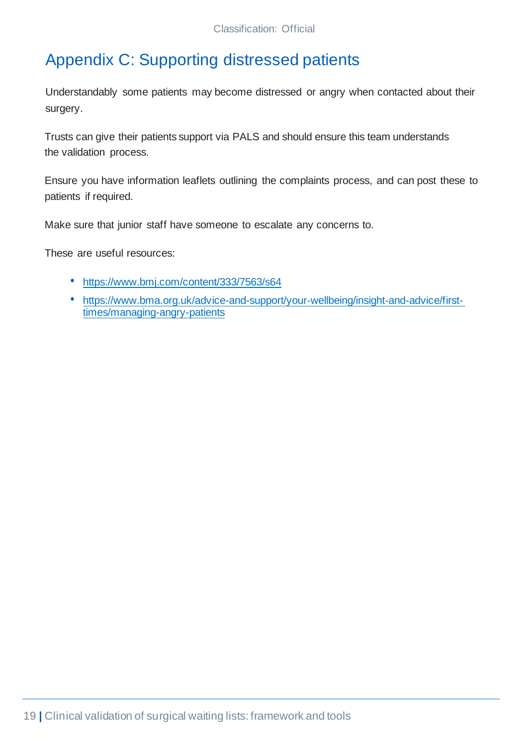# <span id="page-18-0"></span>Appendix C: Supporting distressed patients

Understandably some patients may become distressed or angry when contacted about their surgery.

Trusts can give their patients support via PALS and should ensure this team understands the validation process.

Ensure you have information leaflets outlining the complaints process, and can post these to patients if required.

Make sure that junior staff have someone to escalate any concerns to.

These are useful resources:

- <https://www.bmj.com/content/333/7563/s64>
- [https://www.bma.org.uk/advice-and-support/your-wellbeing/insight-and-advice/first](https://www.bma.org.uk/advice-and-support/your-wellbeing/insight-and-advice/first-times/managing-angry-patients)[times/managing-angry-patients](https://www.bma.org.uk/advice-and-support/your-wellbeing/insight-and-advice/first-times/managing-angry-patients)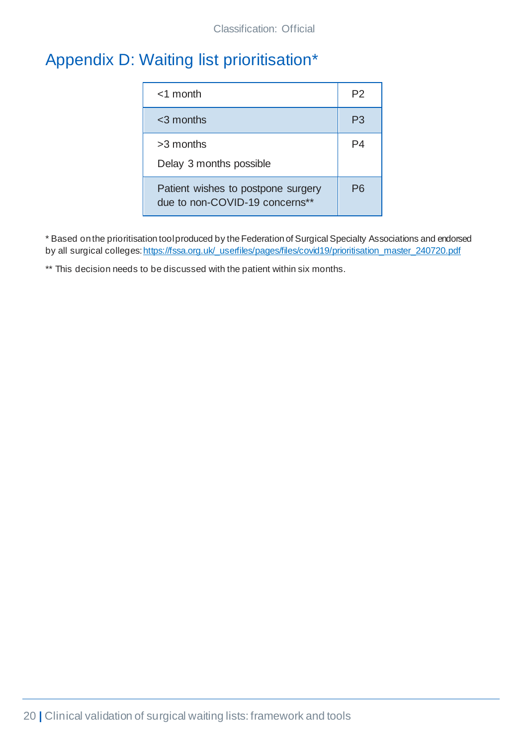# <span id="page-19-0"></span>Appendix D: Waiting list prioritisation\*

| $<$ 1 month                                                          | P2 |
|----------------------------------------------------------------------|----|
| $<$ 3 months                                                         | P3 |
| $>3$ months<br>Delay 3 months possible                               | P4 |
| Patient wishes to postpone surgery<br>due to non-COVID-19 concerns** | Рĥ |

\* Based onthe prioritisation toolproduced by theFederation of Surgical Specialty Associations and endorsed by all surgical colleges: https://fssa.org.uk/\_userfiles/pages/files/covid19/prioritisation\_master\_240720.pdf

\*\* This decision needs to be discussed with the patient within six months.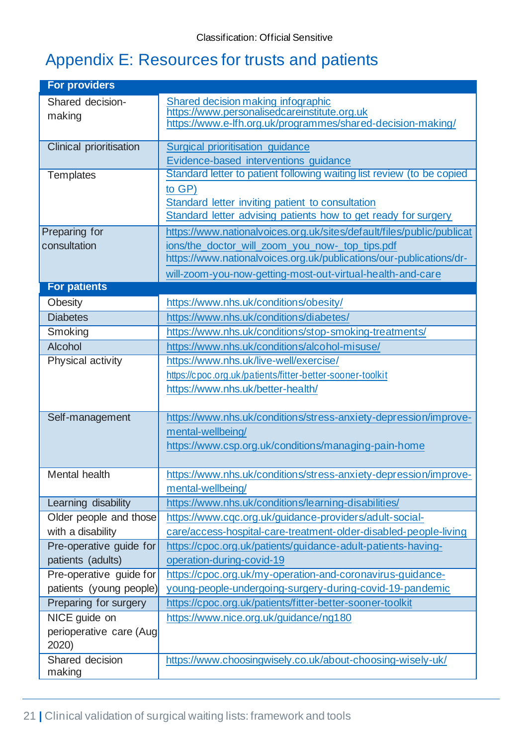# <span id="page-20-0"></span>Appendix E: Resources for trusts and patients

| <b>For providers</b>    |                                                                                                                        |
|-------------------------|------------------------------------------------------------------------------------------------------------------------|
| Shared decision-        | Shared decision making infographic                                                                                     |
| making                  | https://www.personalisedcareinstitute.org.uk<br>https://www.e-lfh.org.uk/programmes/shared-decision-making/            |
|                         |                                                                                                                        |
| Clinical prioritisation | Surgical prioritisation guidance                                                                                       |
|                         | Evidence-based interventions guidance                                                                                  |
| <b>Templates</b>        | Standard letter to patient following waiting list review (to be copied                                                 |
|                         | to GP)                                                                                                                 |
|                         | Standard letter inviting patient to consultation                                                                       |
|                         | Standard letter advising patients how to get ready for surgery                                                         |
| Preparing for           | https://www.nationalvoices.org.uk/sites/default/files/public/publicat                                                  |
| consultation            | ions/the_doctor_will_zoom_you_now-_top_tips.pdf<br>https://www.nationalvoices.org.uk/publications/our-publications/dr- |
|                         |                                                                                                                        |
| <b>For patients</b>     | will-zoom-you-now-getting-most-out-virtual-health-and-care                                                             |
| Obesity                 | https://www.nhs.uk/conditions/obesity/                                                                                 |
| <b>Diabetes</b>         | https://www.nhs.uk/conditions/diabetes/                                                                                |
| Smoking                 | https://www.nhs.uk/conditions/stop-smoking-treatments/                                                                 |
| Alcohol                 | https://www.nhs.uk/conditions/alcohol-misuse/                                                                          |
| Physical activity       | https://www.nhs.uk/live-well/exercise/                                                                                 |
|                         | https://cpoc.org.uk/patients/fitter-better-sooner-toolkit                                                              |
|                         | https://www.nhs.uk/better-health/                                                                                      |
|                         |                                                                                                                        |
| Self-management         | https://www.nhs.uk/conditions/stress-anxiety-depression/improve-                                                       |
|                         | mental-wellbeing/                                                                                                      |
|                         | https://www.csp.org.uk/conditions/managing-pain-home                                                                   |
|                         |                                                                                                                        |
| Mental health           | https://www.nhs.uk/conditions/stress-anxiety-depression/improve-                                                       |
|                         | mental-wellbeing/                                                                                                      |
| Learning disability     | https://www.nhs.uk/conditions/learning-disabilities/                                                                   |
| Older people and those  | https://www.cqc.org.uk/guidance-providers/adult-social-                                                                |
| with a disability       | care/access-hospital-care-treatment-older-disabled-people-living                                                       |
| Pre-operative guide for | https://cpoc.org.uk/patients/guidance-adult-patients-having-                                                           |
| patients (adults)       | operation-during-covid-19                                                                                              |
| Pre-operative guide for | https://cpoc.org.uk/my-operation-and-coronavirus-guidance-                                                             |
| patients (young people) | young-people-undergoing-surgery-during-covid-19-pandemic                                                               |
| Preparing for surgery   | https://cpoc.org.uk/patients/fitter-better-sooner-toolkit                                                              |
| NICE guide on           | https://www.nice.org.uk/guidance/ng180                                                                                 |
| perioperative care (Aug |                                                                                                                        |
| 2020)                   |                                                                                                                        |
| Shared decision         | https://www.choosingwisely.co.uk/about-choosing-wisely-uk/                                                             |
| making                  |                                                                                                                        |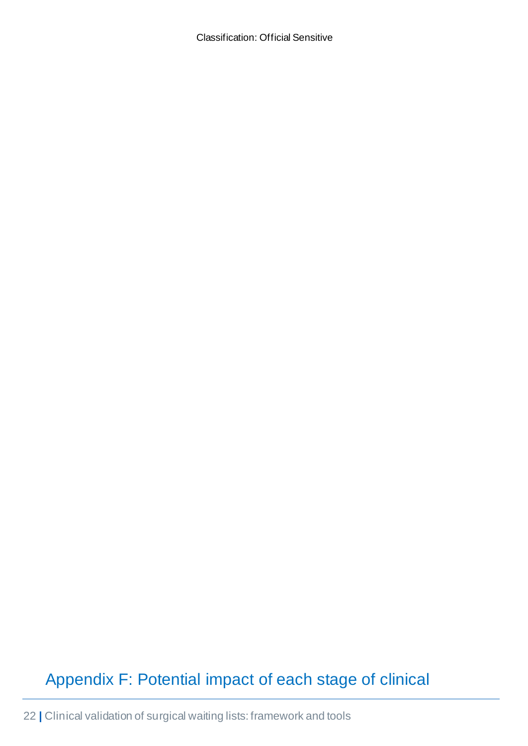# <span id="page-21-0"></span>Appendix F: Potential impact of each stage of clinical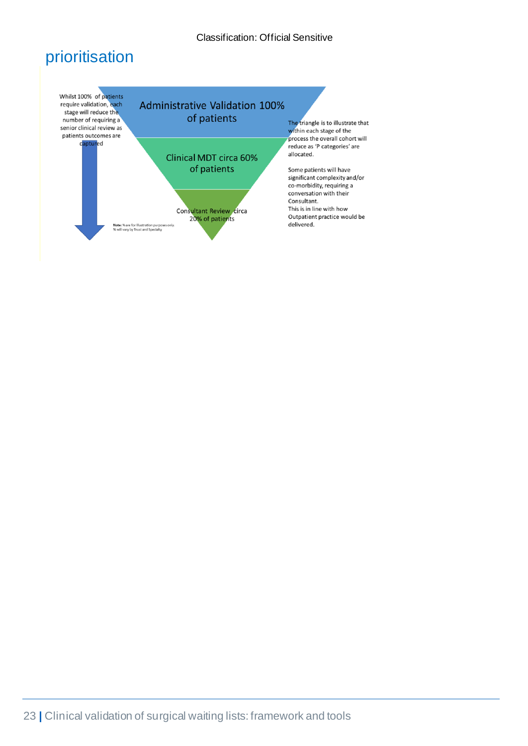### prioritisation

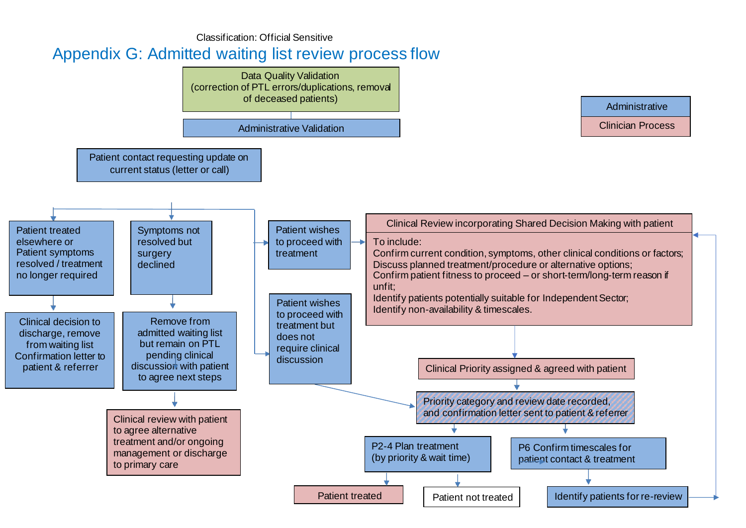### Appendix G: Admitted waiting list review process flow

<span id="page-23-0"></span>